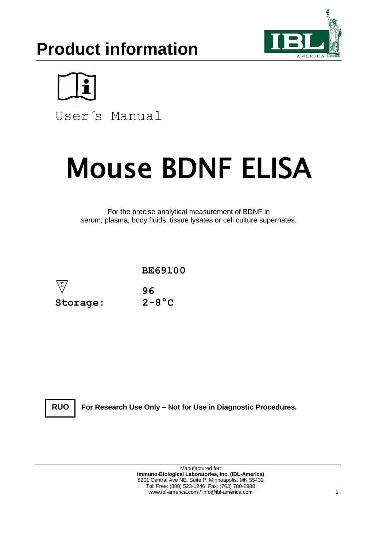# **Product information**





User´s Manual

# Mouse BDNF ELISA

For the precise analytical measurement of BDNF in serum, plasma, body fluids, tissue lysates or cell culture supernates.



**RUO**

**For Research Use Only – Not for Use in Diagnostic Procedures.**

Manufactured for: **Immuno-Biological Laboratories, Inc. (IBL-America)** 8201 Central Ave NE, Suite P, Minneapolis, MN 55432 Toll Free: (888) 523-1246 Fax: (763) 780-2988 www.ibl-america.com / info@ibl-america.com 1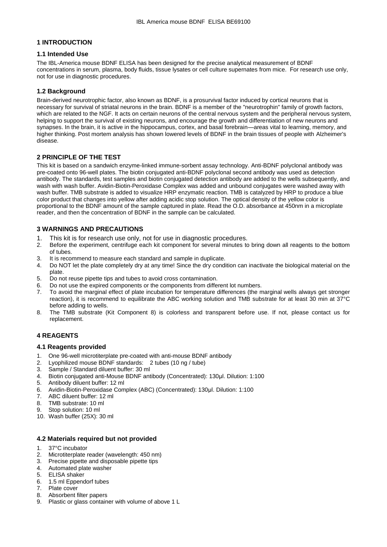# **1 INTRODUCTION**

# **1.1 Intended Use**

The IBL-America mouse BDNF ELISA has been designed for the precise analytical measurement of BDNF concentrations in serum, plasma, body fluids, tissue lysates or cell culture supernates from mice. For research use only, not for use in diagnostic procedures.

# **1.2 Background**

Brain-derived neurotrophic factor, also known as BDNF, is a prosurvival factor induced by cortical neurons that is necessary for survival of striatal neurons in the brain. BDNF is a member of the "neurotrophin" family of growth factors, which are related to the NGF. It acts on certain neurons of the central nervous system and the peripheral nervous system, helping to support the survival of existing neurons, and encourage the growth and differentiation of new neurons and synapses. In the brain, it is active in the hippocampus, cortex, and basal forebrain—areas vital to learning, memory, and higher thinking. Post mortem analysis has shown lowered levels of BDNF in the brain tissues of people with Alzheimer's disease.

# **2 PRINCIPLE OF THE TEST**

This kit is based on a sandwich enzyme-linked immune-sorbent assay technology. Anti-BDNF polyclonal antibody was pre-coated onto 96-well plates. The biotin conjugated anti-BDNF polyclonal second antibody was used as detection antibody. The standards, test samples and biotin conjugated detection antibody are added to the wells subsequently, and wash with wash buffer. Avidin-Biotin-Peroxidase Complex was added and unbound conjugates were washed away with wash buffer. TMB substrate is added to visualize HRP enzymatic reaction. TMB is catalyzed by HRP to produce a blue color product that changes into yellow after adding acidic stop solution. The optical density of the yellow color is proportional to the BDNF amount of the sample captured in plate. Read the O.D. absorbance at 450nm in a microplate reader, and then the concentration of BDNF in the sample can be calculated.

# **3 WARNINGS AND PRECAUTIONS**

- 1. This kit is for research use only, not for use in diagnostic procedures.
- 2. Before the experiment, centrifuge each kit component for several minutes to bring down all reagents to the bottom of tubes.
- 3. It is recommend to measure each standard and sample in duplicate.<br>4. Do NOT let the plate completely dry at any time! Since the dry condition-
- 4. Do NOT let the plate completely dry at any time! Since the dry condition can inactivate the biological material on the plate.
- 5. Do not reuse pipette tips and tubes to avoid cross contamination.
- 6. Do not use the expired components or the components from different lot numbers.
- 7. To avoid the marginal effect of plate incubation for temperature differences (the marginal wells always get stronger reaction), it is recommend to equilibrate the ABC working solution and TMB substrate for at least 30 min at 37°C before adding to wells.
- 8. The TMB substrate (Kit Component 8) is colorless and transparent before use. If not, please contact us for replacement.

# **4 REAGENTS**

# **4.1 Reagents provided**

- 1. One 96-well microtiterplate pre-coated with anti-mouse BDNF antibody
- 2. Lyophilized mouse BDNF standards: 2 tubes (10 ng / tube)
- 
- 3. Sample / Standard diluent buffer: 30 ml Biotin conjugated anti-Mouse BDNF antibody (Concentrated): 130µl. Dilution: 1:100
- 5. Antibody diluent buffer: 12 ml
- 6. Avidin-Biotin-Peroxidase Complex (ABC) (Concentrated): 130μl. Dilution: 1:100
- 7. ABC diluent buffer: 12 ml
- 8. TMB substrate: 10 ml
- 9. Stop solution: 10 ml
- 10. Wash buffer (25X): 30 ml

# **4.2 Materials required but not provided**

- 1. 37°C incubator<br>2. Microtiterplate
- Microtiterplate reader (wavelength: 450 nm)
- 3. Precise pipette and disposable pipette tips
- 4. Automated plate washer
- 5. ELISA shaker
- 6. 1.5 ml Eppendorf tubes
- 7. Plate cover
- 8. Absorbent filter papers 9. Plastic or glass container with volume of above 1 L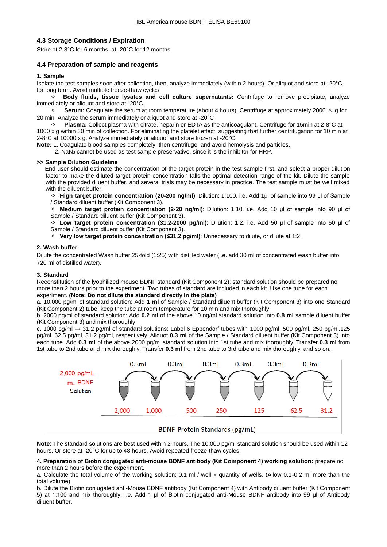# **4.3 Storage Conditions / Expiration**

Store at 2-8°C for 6 months, at -20°C for 12 months.

# **4.4 Preparation of sample and reagents**

#### **1. Sample**

Isolate the test samples soon after collecting, then, analyze immediately (within 2 hours). Or aliquot and store at -20°C for long term. Avoid multiple freeze-thaw cycles.

 **Body fluids, tissue lysates and cell culture supernatants:** Centrifuge to remove precipitate, analyze immediately or aliquot and store at -20°C.

 $\div$  **Serum:** Coagulate the serum at room temperature (about 4 hours). Centrifuge at approximately 2000  $\times$  g for 20 min. Analyze the serum immediately or aliquot and store at -20°C

 **Plasma:** Collect plasma with citrate, heparin or EDTA as the anticoagulant. Centrifuge for 15min at 2-8°C at 1000 x g within 30 min of collection. For eliminating the platelet effect, suggesting that further centrifugation for 10 min at 2-8°C at 10000 x g. Analyze immediately or aliquot and store frozen at -20°C.

**Note:** 1. Coagulate blood samples completely, then centrifuge, and avoid hemolysis and particles.

2.  $\text{NaN}_3$  cannot be used as test sample preservative, since it is the inhibitor for HRP.

#### **>> Sample Dilution Guideline**

End user should estimate the concentration of the target protein in the test sample first, and select a proper dilution factor to make the diluted target protein concentration falls the optimal detection range of the kit. Dilute the sample with the provided diluent buffer, and several trials may be necessary in practice. The test sample must be well mixed with the diluent buffer.

 **High target protein concentration (20-200 ng/ml)**: Dilution: 1:100. i.e. Add 1μl of sample into 99 μl of Sample / Standard diluent buffer (Kit Component 3).

 **Medium target protein concentration (2-20 ng/ml)**: Dilution: 1:10. i.e. Add 10 μl of sample into 90 μl of Sample / Standard diluent buffer (Kit Component 3).

 **Low target protein concentration (31.2-2000 pg/ml)**: Dilution: 1:2. i.e. Add 50 μl of sample into 50 μl of Sample / Standard diluent buffer (Kit Component 3).

**Very low target protein concentration (≤31.2 pg/ml)**: Unnecessary to dilute, or dilute at 1:2.

#### **2. Wash buffer**

Dilute the concentrated Wash buffer 25-fold (1:25) with distilled water (i.e. add 30 ml of concentrated wash buffer into 720 ml of distilled water).

#### **3. Standard**

Reconstitution of the lyophilized mouse BDNF standard (Kit Component 2): standard solution should be prepared no more than 2 hours prior to the experiment. Two tubes of standard are included in each kit. Use one tube for each experiment. **(Note: Do not dilute the standard directly in the plate)**

a. 10,000 pg/ml of standard solution: Add **1 ml** of Sample / Standard diluent buffer (Kit Component 3) into one Standard (Kit Component 2) tube, keep the tube at room temperature for 10 min and mix thoroughly.

b. 2000 pg/ml of standard solution: Add **0.2 ml** of the above 10 ng/ml standard solution into **0.8 ml** sample diluent buffer (Kit Component 3) and mix thoroughly.

c. 1000 pg/ml  $\rightarrow$  31.2 pg/ml of standard solutions: Label 6 Eppendorf tubes with 1000 pg/ml, 500 pg/ml, 250 pg/ml,125 pg/ml, 62.5 pg/ml, 31.2 pg/ml, respectively. Aliquot **0.3 ml** of the Sample / Standard diluent buffer (Kit Component 3) into each tube. Add **0.3 ml** of the above 2000 pg/ml standard solution into 1st tube and mix thoroughly. Transfer **0.3 ml** from 1st tube to 2nd tube and mix thoroughly. Transfer **0.3 ml** from 2nd tube to 3rd tube and mix thoroughly, and so on.



# **BDNF Protein Standards (pg/mL)**

**Note**: The standard solutions are best used within 2 hours. The 10,000 pg/ml standard solution should be used within 12 hours. Or store at -20°C for up to 48 hours. Avoid repeated freeze-thaw cycles.

#### **4. Preparation of Biotin conjugated anti-mouse BDNF antibody (Kit Component 4) working solution:** prepare no more than 2 hours before the experiment.

a. Calculate the total volume of the working solution: 0.1 ml / well x quantity of wells. (Allow 0.1-0.2 ml more than the total volume)

b. Dilute the Biotin conjugated anti-Mouse BDNF antibody (Kit Component 4) with Antibody diluent buffer (Kit Component 5) at 1:100 and mix thoroughly. i.e. Add 1 μl of Biotin conjugated anti-Mouse BDNF antibody into 99 μl of Antibody diluent buffer.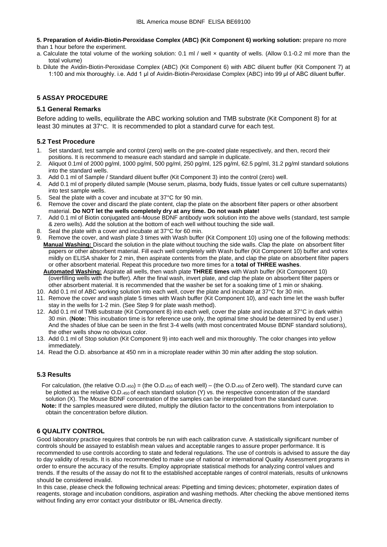**5. Preparation of Avidin-Biotin-Peroxidase Complex (ABC) (Kit Component 6) working solution:** prepare no more than 1 hour before the experiment.

a. Calculate the total volume of the working solution: 0.1 ml / well x quantity of wells. (Allow 0.1-0.2 ml more than the total volume)

b. Dilute the Avidin-Biotin-Peroxidase Complex (ABC) (Kit Component 6) with ABC diluent buffer (Kit Component 7) at 1:100 and mix thoroughly. i.e. Add 1 μl of Avidin-Biotin-Peroxidase Complex (ABC) into 99 μl of ABC diluent buffer.

# **5 ASSAY PROCEDURE**

# **5.1 General Remarks**

Before adding to wells, equilibrate the ABC working solution and TMB substrate (Kit Component 8) for at least 30 minutes at 37°C. It is recommended to plot a standard curve for each test.

# **5.2 Test Procedure**

- 1. Set standard, test sample and control (zero) wells on the pre-coated plate respectively, and then, record their positions. It is recommend to measure each standard and sample in duplicate.
- 2. Aliquot 0.1ml of 2000 pg/ml, 1000 pg/ml, 500 pg/ml, 250 pg/ml, 125 pg/ml, 62.5 pg/ml, 31.2 pg/ml standard solutions into the standard wells.
- 3. Add 0.1 ml of Sample / Standard diluent buffer (Kit Component 3) into the control (zero) well.
- 4. Add 0.1 ml of properly diluted sample (Mouse serum, plasma, body fluids, tissue lyates or cell culture supernatants) into test sample wells.
- 5. Seal the plate with a cover and incubate at 37°C for 90 min.
- 6. Remove the cover and discard the plate content, clap the plate on the absorbent filter papers or other absorbent material. **Do NOT let the wells completely dry at any time. Do not wash plate!**
- 7. Add 0.1 ml of Biotin conjugated anti-Mouse BDNF antibody work solution into the above wells (standard, test sample & zero wells). Add the solution at the bottom of each well without touching the side wall.
- 8. Seal the plate with a cover and incubate at 37°C for 60 min.
- 9. Remove the cover, and wash plate 3 times with Wash buffer (Kit Component 10) using one of the following methods: **Manual Washing:** Discard the solution in the plate without touching the side walls. Clap the plate on absorbent filter papers or other absorbent material. Fill each well completely with Wash buffer (Kit Component 10) buffer and vortex mildly on ELISA shaker for 2 min, then aspirate contents from the plate, and clap the plate on absorbent filter papers or other absorbent material. Repeat this procedure two more times for a **total of THREE washes**.
	- **Automated Washing:** Aspirate all wells, then wash plate **THREE times** with Wash buffer (Kit Component 10) (overfilling wells with the buffer). After the final wash, invert plate, and clap the plate on absorbent filter papers or other absorbent material. It is recommended that the washer be set for a soaking time of 1 min or shaking.
- 10. Add 0.1 ml of ABC working solution into each well, cover the plate and incubate at 37°C for 30 min.
- 11. Remove the cover and wash plate 5 times with Wash buffer (Kit Component 10), and each time let the wash buffer stay in the wells for 1-2 min. (See Step 9 for plate wash method).
- 12. Add 0.1 ml of TMB substrate (Kit Component 8) into each well, cover the plate and incubate at 37°C in dark within 30 min. (**Note:** This incubation time is for reference use only, the optimal time should be determined by end user.) And the shades of blue can be seen in the first 3-4 wells (with most concentrated Mouse BDNF standard solutions), the other wells show no obvious color.
- 13. Add 0.1 ml of Stop solution (Kit Component 9) into each well and mix thoroughly. The color changes into yellow immediately.
- 14. Read the O.D. absorbance at 450 nm in a microplate reader within 30 min after adding the stop solution.

# **5.3 Results**

 For calculation, (the relative O.D.450) = (the O.D.<sup>450</sup> of each well) – (the O.D.<sup>450</sup> of Zero well). The standard curve can be plotted as the relative O.D.450 of each standard solution (Y) vs. the respective concentration of the standard solution (X). The Mouse BDNF concentration of the samples can be interpolated from the standard curve.  **Note:** If the samples measured were diluted, multiply the dilution factor to the concentrations from interpolation to obtain the concentration before dilution.

# **6 QUALITY CONTROL**

Good laboratory practice requires that controls be run with each calibration curve. A statistically significant number of controls should be assayed to establish mean values and acceptable ranges to assure proper performance. It is recommended to use controls according to state and federal regulations. The use of controls is advised to assure the day to day validity of results. It is also recommended to make use of national or international Quality Assessment programs in order to ensure the accuracy of the results. Employ appropriate statistical methods for analyzing control values and trends. If the results of the assay do not fit to the established acceptable ranges of control materials, results of unknowns should be considered invalid.

In this case, please check the following technical areas: Pipetting and timing devices; photometer, expiration dates of reagents, storage and incubation conditions, aspiration and washing methods. After checking the above mentioned items without finding any error contact your distributor or IBL-America directly.